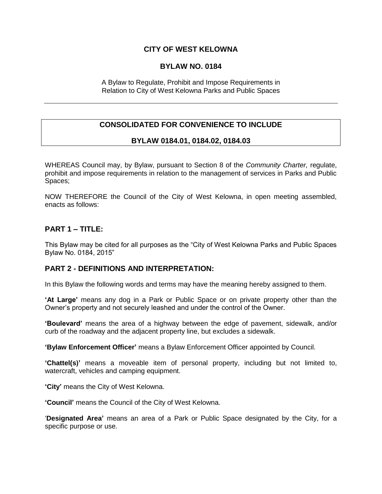# **CITY OF WEST KELOWNA**

### **BYLAW NO. 0184**

A Bylaw to Regulate, Prohibit and Impose Requirements in Relation to City of West Kelowna Parks and Public Spaces

# **CONSOLIDATED FOR CONVENIENCE TO INCLUDE**

# **BYLAW 0184.01, 0184.02, 0184.03**

WHEREAS Council may, by Bylaw, pursuant to Section 8 of the *Community Charter,* regulate, prohibit and impose requirements in relation to the management of services in Parks and Public Spaces;

NOW THEREFORE the Council of the City of West Kelowna, in open meeting assembled, enacts as follows:

# **PART 1 – TITLE:**

This Bylaw may be cited for all purposes as the "City of West Kelowna Parks and Public Spaces Bylaw No. 0184, 2015"

### **PART 2 - DEFINITIONS AND INTERPRETATION:**

In this Bylaw the following words and terms may have the meaning hereby assigned to them.

**'At Large'** means any dog in a Park or Public Space or on private property other than the Owner's property and not securely leashed and under the control of the Owner.

**'Boulevard'** means the area of a highway between the edge of pavement, sidewalk, and/or curb of the roadway and the adjacent property line, but excludes a sidewalk.

**'Bylaw Enforcement Officer'** means a Bylaw Enforcement Officer appointed by Council.

**'Chattel(s)'** means a moveable item of personal property, including but not limited to, watercraft, vehicles and camping equipment.

**'City'** means the City of West Kelowna.

**'Council'** means the Council of the City of West Kelowna.

'**Designated Area'** means an area of a Park or Public Space designated by the City, for a specific purpose or use.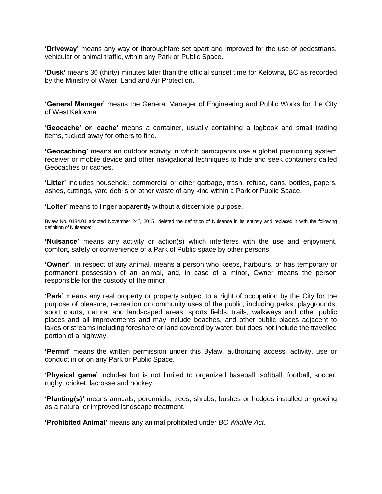**'Driveway'** means any way or thoroughfare set apart and improved for the use of pedestrians, vehicular or animal traffic, within any Park or Public Space.

**'Dusk'** means 30 (thirty) minutes later than the official sunset time for Kelowna, BC as recorded by the Ministry of Water, Land and Air Protection.

**'General Manager'** means the General Manager of Engineering and Public Works for the City of West Kelowna.

'**Geocache' or 'cache'** means a container, usually containing a logbook and small trading items, tucked away for others to find.

**'Geocaching'** means an outdoor activity in which participants use a global positioning system receiver or mobile device and other navigational techniques to hide and seek containers called Geocaches or caches.

**'Litter'** includes household, commercial or other garbage, trash, refuse, cans, bottles, papers, ashes, cuttings, yard debris or other waste of any kind within a Park or Public Space.

**'Loiter'** means to linger apparently without a discernible purpose.

Bylaw No. 0184.01 adopted November 24<sup>th</sup>, 2015 deleted the definition of Nuisance in its entirety and replaced it with the following definition of Nuisance:

**'Nuisance'** means any activity or action(s) which interferes with the use and enjoyment, comfort, safety or convenience of a Park of Public space by other persons.

**'Owner'** in respect of any animal, means a person who keeps, harbours, or has temporary or permanent possession of an animal, and, in case of a minor, Owner means the person responsible for the custody of the minor.

**'Park'** means any real property or property subject to a right of occupation by the City for the purpose of pleasure, recreation or community uses of the public, including parks, playgrounds, sport courts, natural and landscaped areas, sports fields, trails, walkways and other public places and all improvements and may include beaches, and other public places adjacent to lakes or streams including foreshore or land covered by water; but does not include the travelled portion of a highway.

**'Permit'** means the written permission under this Bylaw, authorizing access, activity, use or conduct in or on any Park or Public Space.

**'Physical game'** includes but is not limited to organized baseball, softball, football, soccer, rugby, cricket, lacrosse and hockey.

**'Planting(s)'** means annuals, perennials, trees, shrubs, bushes or hedges installed or growing as a natural or improved landscape treatment.

**'Prohibited Animal'** means any animal prohibited under *BC Wildlife Act*.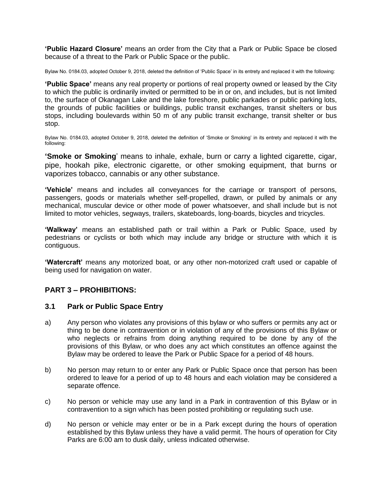**'Public Hazard Closure'** means an order from the City that a Park or Public Space be closed because of a threat to the Park or Public Space or the public.

Bylaw No. 0184.03, adopted October 9, 2018, deleted the definition of 'Public Space' in its entrety and replaced it with the following:

**'Public Space'** means any real property or portions of real property owned or leased by the City to which the public is ordinarily invited or permitted to be in or on, and includes, but is not limited to, the surface of Okanagan Lake and the lake foreshore, public parkades or public parking lots, the grounds of public facilities or buildings, public transit exchanges, transit shelters or bus stops, including boulevards within 50 m of any public transit exchange, transit shelter or bus stop.

Bylaw No. 0184.03, adopted October 9, 2018, deleted the definition of 'Smoke or Smoking' in its entrety and replaced it with the following:

**'Smoke or Smoking**' means to inhale, exhale, burn or carry a lighted cigarette, cigar, pipe, hookah pike, electronic cigarette, or other smoking equipment, that burns or vaporizes tobacco, cannabis or any other substance.

**'Vehicle'** means and includes all conveyances for the carriage or transport of persons, passengers, goods or materials whether self-propelled, drawn, or pulled by animals or any mechanical, muscular device or other mode of power whatsoever, and shall include but is not limited to motor vehicles, segways, trailers, skateboards, long-boards, bicycles and tricycles.

**'Walkway'** means an established path or trail within a Park or Public Space, used by pedestrians or cyclists or both which may include any bridge or structure with which it is contiguous.

**'Watercraft'** means any motorized boat, or any other non-motorized craft used or capable of being used for navigation on water.

# **PART 3 – PROHIBITIONS:**

### **3.1 Park or Public Space Entry**

- a) Any person who violates any provisions of this bylaw or who suffers or permits any act or thing to be done in contravention or in violation of any of the provisions of this Bylaw or who neglects or refrains from doing anything required to be done by any of the provisions of this Bylaw, or who does any act which constitutes an offence against the Bylaw may be ordered to leave the Park or Public Space for a period of 48 hours.
- b) No person may return to or enter any Park or Public Space once that person has been ordered to leave for a period of up to 48 hours and each violation may be considered a separate offence.
- c) No person or vehicle may use any land in a Park in contravention of this Bylaw or in contravention to a sign which has been posted prohibiting or regulating such use.
- d) No person or vehicle may enter or be in a Park except during the hours of operation established by this Bylaw unless they have a valid permit. The hours of operation for City Parks are 6:00 am to dusk daily, unless indicated otherwise.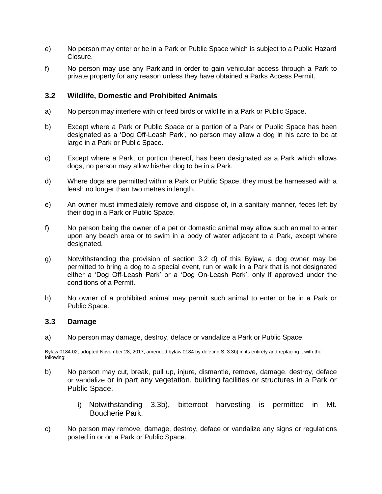- e) No person may enter or be in a Park or Public Space which is subject to a Public Hazard Closure.
- f) No person may use any Parkland in order to gain vehicular access through a Park to private property for any reason unless they have obtained a Parks Access Permit.

### **3.2 Wildlife, Domestic and Prohibited Animals**

- a) No person may interfere with or feed birds or wildlife in a Park or Public Space.
- b) Except where a Park or Public Space or a portion of a Park or Public Space has been designated as a 'Dog Off-Leash Park', no person may allow a dog in his care to be at large in a Park or Public Space.
- c) Except where a Park, or portion thereof, has been designated as a Park which allows dogs, no person may allow his/her dog to be in a Park.
- d) Where dogs are permitted within a Park or Public Space, they must be harnessed with a leash no longer than two metres in length.
- e) An owner must immediately remove and dispose of, in a sanitary manner, feces left by their dog in a Park or Public Space.
- f) No person being the owner of a pet or domestic animal may allow such animal to enter upon any beach area or to swim in a body of water adjacent to a Park, except where designated.
- g) Notwithstanding the provision of section 3.2 d) of this Bylaw, a dog owner may be permitted to bring a dog to a special event, run or walk in a Park that is not designated either a 'Dog Off-Leash Park' or a 'Dog On-Leash Park', only if approved under the conditions of a Permit.
- h) No owner of a prohibited animal may permit such animal to enter or be in a Park or Public Space.

### **3.3 Damage**

a) No person may damage, destroy, deface or vandalize a Park or Public Space.

Bylaw 0184.02, adopted November 28, 2017, amended bylaw 0184 by deleting S. 3.3b) in its entirety and replacing it with the following:

- b) No person may cut, break, pull up, injure, dismantle, remove, damage, destroy, deface or vandalize or in part any vegetation, building facilities or structures in a Park or Public Space.
	- i) Notwithstanding 3.3b), bitterroot harvesting is permitted in Mt. Boucherie Park.
- c) No person may remove, damage, destroy, deface or vandalize any signs or regulations posted in or on a Park or Public Space.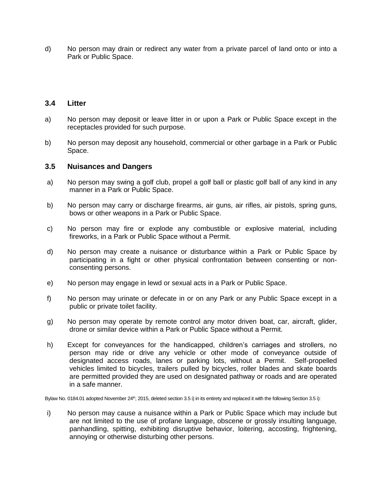d) No person may drain or redirect any water from a private parcel of land onto or into a Park or Public Space.

### **3.4 Litter**

- a) No person may deposit or leave litter in or upon a Park or Public Space except in the receptacles provided for such purpose.
- b) No person may deposit any household, commercial or other garbage in a Park or Public Space.

#### **3.5 Nuisances and Dangers**

- a) No person may swing a golf club, propel a golf ball or plastic golf ball of any kind in any manner in a Park or Public Space.
- b) No person may carry or discharge firearms, air guns, air rifles, air pistols, spring guns, bows or other weapons in a Park or Public Space.
- c) No person may fire or explode any combustible or explosive material, including fireworks, in a Park or Public Space without a Permit.
- d) No person may create a nuisance or disturbance within a Park or Public Space by participating in a fight or other physical confrontation between consenting or nonconsenting persons.
- e) No person may engage in lewd or sexual acts in a Park or Public Space.
- f) No person may urinate or defecate in or on any Park or any Public Space except in a public or private toilet facility.
- g) No person may operate by remote control any motor driven boat, car, aircraft, glider, drone or similar device within a Park or Public Space without a Permit.
- h) Except for conveyances for the handicapped, children's carriages and strollers, no person may ride or drive any vehicle or other mode of conveyance outside of designated access roads, lanes or parking lots, without a Permit. Self-propelled vehicles limited to bicycles, trailers pulled by bicycles, roller blades and skate boards are permitted provided they are used on designated pathway or roads and are operated in a safe manner.

Bylaw No. 0184.01 adopted November 24<sup>th</sup>, 2015, deleted section 3.5 i) in its entirety and replaced it with the following Section 3.5 i):

i) No person may cause a nuisance within a Park or Public Space which may include but are not limited to the use of profane language, obscene or grossly insulting language, panhandling, spitting, exhibiting disruptive behavior, loitering, accosting, frightening, annoying or otherwise disturbing other persons.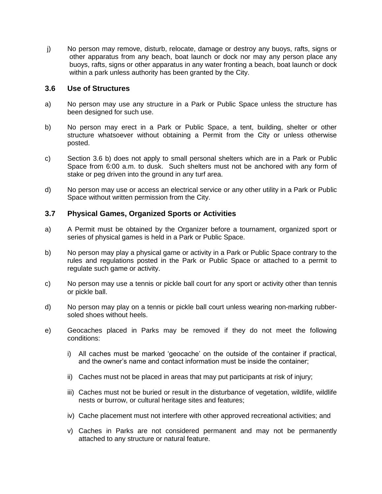j) No person may remove, disturb, relocate, damage or destroy any buoys, rafts, signs or other apparatus from any beach, boat launch or dock nor may any person place any buoys, rafts, signs or other apparatus in any water fronting a beach, boat launch or dock within a park unless authority has been granted by the City.

### **3.6 Use of Structures**

- a) No person may use any structure in a Park or Public Space unless the structure has been designed for such use.
- b) No person may erect in a Park or Public Space, a tent, building, shelter or other structure whatsoever without obtaining a Permit from the City or unless otherwise posted.
- c) Section 3.6 b) does not apply to small personal shelters which are in a Park or Public Space from 6:00 a.m. to dusk. Such shelters must not be anchored with any form of stake or peg driven into the ground in any turf area.
- d) No person may use or access an electrical service or any other utility in a Park or Public Space without written permission from the City.

# **3.7 Physical Games, Organized Sports or Activities**

- a) A Permit must be obtained by the Organizer before a tournament, organized sport or series of physical games is held in a Park or Public Space.
- b) No person may play a physical game or activity in a Park or Public Space contrary to the rules and regulations posted in the Park or Public Space or attached to a permit to regulate such game or activity.
- c) No person may use a tennis or pickle ball court for any sport or activity other than tennis or pickle ball.
- d) No person may play on a tennis or pickle ball court unless wearing non-marking rubbersoled shoes without heels.
- e) Geocaches placed in Parks may be removed if they do not meet the following conditions:
	- i) All caches must be marked 'geocache' on the outside of the container if practical, and the owner's name and contact information must be inside the container;
	- ii) Caches must not be placed in areas that may put participants at risk of injury;
	- iii) Caches must not be buried or result in the disturbance of vegetation, wildlife, wildlife nests or burrow, or cultural heritage sites and features;
	- iv) Cache placement must not interfere with other approved recreational activities; and
	- v) Caches in Parks are not considered permanent and may not be permanently attached to any structure or natural feature.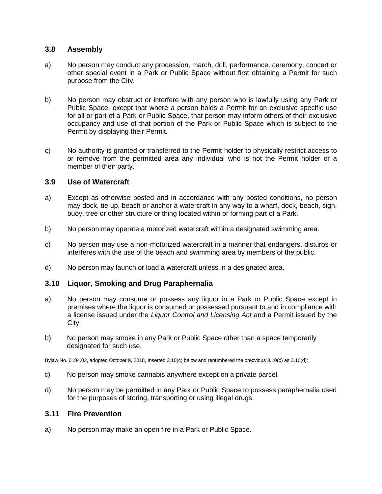### **3.8 Assembly**

- a) No person may conduct any procession, march, drill, performance, ceremony, concert or other special event in a Park or Public Space without first obtaining a Permit for such purpose from the City.
- b) No person may obstruct or interfere with any person who is lawfully using any Park or Public Space, except that where a person holds a Permit for an exclusive specific use for all or part of a Park or Public Space, that person may inform others of their exclusive occupancy and use of that portion of the Park or Public Space which is subject to the Permit by displaying their Permit.
- c) No authority is granted or transferred to the Permit holder to physically restrict access to or remove from the permitted area any individual who is not the Permit holder or a member of their party.

### **3.9 Use of Watercraft**

- a) Except as otherwise posted and in accordance with any posted conditions, no person may dock, tie up, beach or anchor a watercraft in any way to a wharf, dock, beach, sign, buoy, tree or other structure or thing located within or forming part of a Park.
- b) No person may operate a motorized watercraft within a designated swimming area.
- c) No person may use a non-motorized watercraft in a manner that endangers, disturbs or interferes with the use of the beach and swimming area by members of the public.
- d) No person may launch or load a watercraft unless in a designated area.

# **3.10 Liquor, Smoking and Drug Paraphernalia**

- a) No person may consume or possess any liquor in a Park or Public Space except in premises where the liquor is consumed or possessed pursuant to and in compliance with a license issued under the *Liquor Control and Licensing Act* and a Permit issued by the City.
- b) No person may smoke in any Park or Public Space other than a space temporarily designated for such use.

Bylaw No. 0184.03, adopted October 9, 2018, Inserted 3.10(c) below and renumbered the precvious 3.10(c) as 3.10(d):

- c) No person may smoke cannabis anywhere except on a private parcel.
- d) No person may be permitted in any Park or Public Space to possess paraphernalia used for the purposes of storing, transporting or using illegal drugs.

### **3.11 Fire Prevention**

a) No person may make an open fire in a Park or Public Space.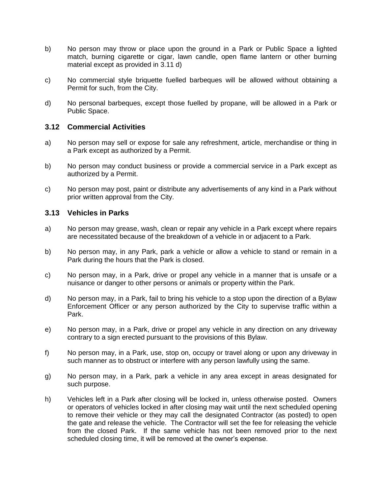- b) No person may throw or place upon the ground in a Park or Public Space a lighted match, burning cigarette or cigar, lawn candle, open flame lantern or other burning material except as provided in 3.11 d)
- c) No commercial style briquette fuelled barbeques will be allowed without obtaining a Permit for such, from the City.
- d) No personal barbeques, except those fuelled by propane, will be allowed in a Park or Public Space.

### **3.12 Commercial Activities**

- a) No person may sell or expose for sale any refreshment, article, merchandise or thing in a Park except as authorized by a Permit.
- b) No person may conduct business or provide a commercial service in a Park except as authorized by a Permit.
- c) No person may post, paint or distribute any advertisements of any kind in a Park without prior written approval from the City.

#### **3.13 Vehicles in Parks**

- a) No person may grease, wash, clean or repair any vehicle in a Park except where repairs are necessitated because of the breakdown of a vehicle in or adjacent to a Park.
- b) No person may, in any Park, park a vehicle or allow a vehicle to stand or remain in a Park during the hours that the Park is closed.
- c) No person may, in a Park, drive or propel any vehicle in a manner that is unsafe or a nuisance or danger to other persons or animals or property within the Park.
- d) No person may, in a Park, fail to bring his vehicle to a stop upon the direction of a Bylaw Enforcement Officer or any person authorized by the City to supervise traffic within a Park.
- e) No person may, in a Park, drive or propel any vehicle in any direction on any driveway contrary to a sign erected pursuant to the provisions of this Bylaw.
- f) No person may, in a Park, use, stop on, occupy or travel along or upon any driveway in such manner as to obstruct or interfere with any person lawfully using the same.
- g) No person may, in a Park, park a vehicle in any area except in areas designated for such purpose.
- h) Vehicles left in a Park after closing will be locked in, unless otherwise posted. Owners or operators of vehicles locked in after closing may wait until the next scheduled opening to remove their vehicle or they may call the designated Contractor (as posted) to open the gate and release the vehicle. The Contractor will set the fee for releasing the vehicle from the closed Park. If the same vehicle has not been removed prior to the next scheduled closing time, it will be removed at the owner's expense.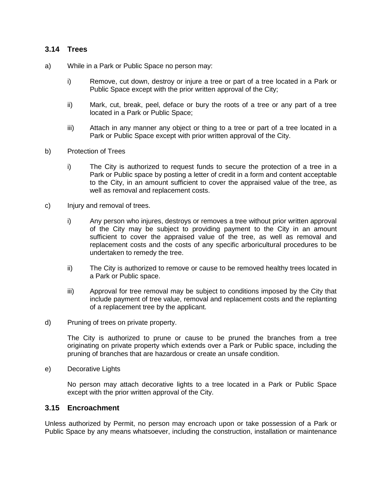### **3.14 Trees**

- a) While in a Park or Public Space no person may:
	- i) Remove, cut down, destroy or injure a tree or part of a tree located in a Park or Public Space except with the prior written approval of the City;
	- ii) Mark, cut, break, peel, deface or bury the roots of a tree or any part of a tree located in a Park or Public Space;
	- iii) Attach in any manner any object or thing to a tree or part of a tree located in a Park or Public Space except with prior written approval of the City.
- b) Protection of Trees
	- i) The City is authorized to request funds to secure the protection of a tree in a Park or Public space by posting a letter of credit in a form and content acceptable to the City, in an amount sufficient to cover the appraised value of the tree, as well as removal and replacement costs.
- c) Injury and removal of trees.
	- i) Any person who injures, destroys or removes a tree without prior written approval of the City may be subject to providing payment to the City in an amount sufficient to cover the appraised value of the tree, as well as removal and replacement costs and the costs of any specific arboricultural procedures to be undertaken to remedy the tree.
	- ii) The City is authorized to remove or cause to be removed healthy trees located in a Park or Public space.
	- iii) Approval for tree removal may be subject to conditions imposed by the City that include payment of tree value, removal and replacement costs and the replanting of a replacement tree by the applicant.
- d) Pruning of trees on private property.

The City is authorized to prune or cause to be pruned the branches from a tree originating on private property which extends over a Park or Public space, including the pruning of branches that are hazardous or create an unsafe condition.

e) Decorative Lights

No person may attach decorative lights to a tree located in a Park or Public Space except with the prior written approval of the City.

### **3.15 Encroachment**

Unless authorized by Permit, no person may encroach upon or take possession of a Park or Public Space by any means whatsoever, including the construction, installation or maintenance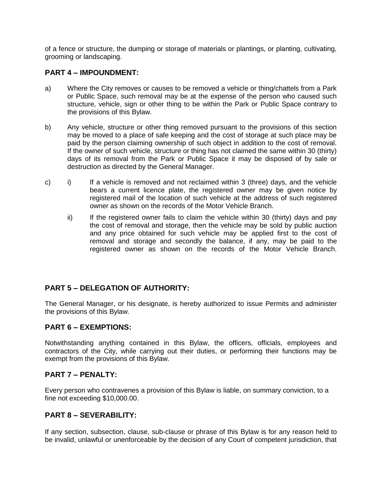of a fence or structure, the dumping or storage of materials or plantings, or planting, cultivating, grooming or landscaping.

### **PART 4 – IMPOUNDMENT:**

- a) Where the City removes or causes to be removed a vehicle or thing/chattels from a Park or Public Space, such removal may be at the expense of the person who caused such structure, vehicle, sign or other thing to be within the Park or Public Space contrary to the provisions of this Bylaw.
- b) Any vehicle, structure or other thing removed pursuant to the provisions of this section may be moved to a place of safe keeping and the cost of storage at such place may be paid by the person claiming ownership of such object in addition to the cost of removal. If the owner of such vehicle, structure or thing has not claimed the same within 30 (thirty) days of its removal from the Park or Public Space it may be disposed of by sale or destruction as directed by the General Manager.
- c) i) If a vehicle is removed and not reclaimed within 3 (three) days, and the vehicle bears a current licence plate, the registered owner may be given notice by registered mail of the location of such vehicle at the address of such registered owner as shown on the records of the Motor Vehicle Branch.
	- $ii)$  If the registered owner fails to claim the vehicle within 30 (thirty) days and pay the cost of removal and storage, then the vehicle may be sold by public auction and any price obtained for such vehicle may be applied first to the cost of removal and storage and secondly the balance, if any, may be paid to the registered owner as shown on the records of the Motor Vehicle Branch.

# **PART 5 – DELEGATION OF AUTHORITY:**

The General Manager, or his designate, is hereby authorized to issue Permits and administer the provisions of this Bylaw.

### **PART 6 – EXEMPTIONS:**

Notwithstanding anything contained in this Bylaw, the officers, officials, employees and contractors of the City, while carrying out their duties, or performing their functions may be exempt from the provisions of this Bylaw.

### **PART 7 – PENALTY:**

Every person who contravenes a provision of this Bylaw is liable, on summary conviction, to a fine not exceeding \$10,000.00.

# **PART 8 – SEVERABILITY:**

If any section, subsection, clause, sub-clause or phrase of this Bylaw is for any reason held to be invalid, unlawful or unenforceable by the decision of any Court of competent jurisdiction, that